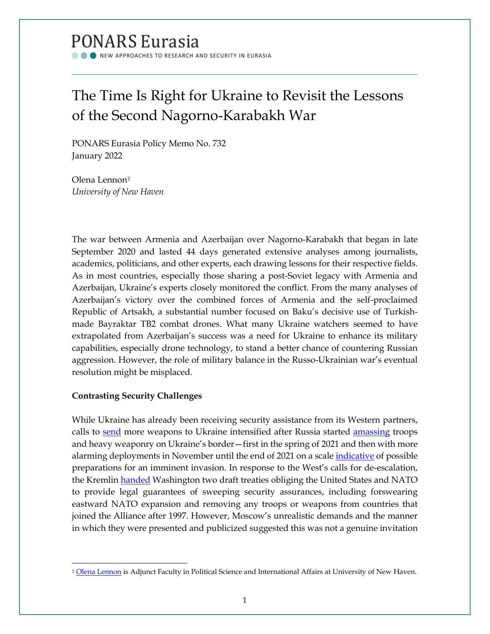# **PONARS Eurasia**

NEW APPROACHES TO RESEARCH AND SECURITY IN EURASIA

## The Time Is Right for Ukraine to Revisit the Lessons of the Second Nagorno-Karabakh War

PONARS Eurasia Policy Memo No. 732 January 2022

Olena Lennon<sup>1</sup> *University of New Haven*

The war between Armenia and Azerbaijan over Nagorno-Karabakh that began in late September 2020 and lasted 44 days generated extensive analyses among journalists, academics, politicians, and other experts, each drawing lessons for their respective fields. As in most countries, especially those sharing a post-Soviet legacy with Armenia and Azerbaijan, Ukraine's experts closely monitored the conflict. From the many analyses of Azerbaijan's victory over the combined forces of Armenia and the self-proclaimed Republic of Artsakh, a substantial number focused on Baku's decisive use of Turkishmade Bayraktar TB2 combat drones. What many Ukraine watchers seemed to have extrapolated from Azerbaijan's success was a need for Ukraine to enhance its military capabilities, especially drone technology, to stand a better chance of countering Russian aggression. However, the role of military balance in the Russo-Ukrainian war's eventual resolution might be misplaced.

### **Contrasting Security Challenges**

While Ukraine has already been receiving security assistance from its Western partners, calls to [send](https://www.atlanticcouncil.org/blogs/ukrainealert/the-west-must-urgently-arm-ukraine-to-deter-putin/) more weapons to Ukraine intensified after Russia started [amassing](https://www.ukrinform.ua/rubric-ato/3227897-rozgortanna-rosijskih-vijsk-na-kordoni-z-ukrainou-trivatime-do-20-kvitna-rozvidka.html) troops and heavy weaponry on Ukraine's border—first in the spring of 2021 and then with more alarming deployments in November until the end of 2021 on a scale *indicative* of possible preparations for an imminent invasion. In response to the West's calls for de-escalation, the Kremlin [handed](https://www.mid.ru/ru/foreign_policy/news/1790809/) Washington two draft treaties obliging the United States and NATO to provide legal guarantees of sweeping security assurances, including forswearing eastward NATO expansion and removing any troops or weapons from countries that joined the Alliance after 1997. However, Moscow's unrealistic demands and the manner in which they were presented and publicized suggested this was not a genuine invitation

<span id="page-0-0"></span><sup>&</sup>lt;sup>1</sup> [Olena Lennon](https://www.newhaven.edu/faculty-staff-profiles/lena-lennon.php) is Adjunct Faculty in Political Science and International Affairs at University of New Haven.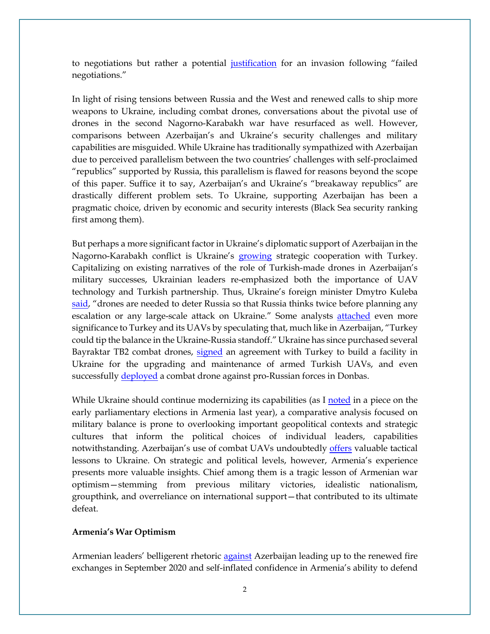to negotiations but rather a potential [justification](https://twitter.com/KofmanMichael/status/1473301709887877131) for an invasion following "failed negotiations."

In light of rising tensions between Russia and the West and renewed calls to ship more weapons to Ukraine, including combat drones, conversations about the pivotal use of drones in the second Nagorno-Karabakh war have resurfaced as well. However, comparisons between Azerbaijan's and Ukraine's security challenges and military capabilities are misguided. While Ukraine has traditionally sympathized with Azerbaijan due to perceived parallelism between the two countries' challenges with self-proclaimed "republics" supported by Russia, this parallelism is flawed for reasons beyond the scope of this paper. Suffice it to say, Azerbaijan's and Ukraine's "breakaway republics" are drastically different problem sets. To Ukraine, supporting Azerbaijan has been a pragmatic choice, driven by economic and security interests (Black Sea security ranking first among them).

But perhaps a more significant factor in Ukraine's diplomatic support of Azerbaijan in the Nagorno-Karabakh conflict is Ukraine's [growing](https://www.dw.com/uk/zustrich-erdohana-ta-zelenskoho-pidtrymka-ukrainy-i-posylennia-spivpratsi/a-57158416) strategic cooperation with Turkey. Capitalizing on existing narratives of the role of Turkish-made drones in Azerbaijan's military successes, Ukrainian leaders re-emphasized both the importance of UAV technology and Turkish partnership. Thus, Ukraine's foreign minister Dmytro Kuleba [said,](https://armyinform.com.ua/2021/06/21/tureczki-bojovi-bpla-potribni-ukrayini-dlya-strymuvannya-rosiyi-dmytro-kuleba/) "drones are needed to deter Russia so that Russia thinks twice before planning any escalation or any large-scale attack on Ukraine." Some analysts [attached](https://www.atlanticcouncil.org/blogs/turkeysource/turkey-could-tip-the-balance-in-the-ukraine-russia-standoff/) even more significance to Turkey and its UAVs by speculating that, much like in Azerbaijan, "Turkey could tip the balance in the Ukraine-Russia standoff." Ukraine has since purchased several Bayraktar TB2 combat drones, [signed](https://defence-ua.com/army_and_war/ukrajina_ta_turechchina_domovilis_pro_budivnitstvo_navchalnogo_tsentru_dlja_operatoriv_bayraktar_tb2-4901.html) an agreement with Turkey to build a facility in Ukraine for the upgrading and maintenance of armed Turkish UAVs, and even successfully [deployed](https://www.dw.com/uk/ukraina-vpershe-zastosuvala-udarnyi-bezpilotnyk-bayraktar-na-donbasi/a-59635169) a combat drone against pro-Russian forces in Donbas.

While Ukraine should continue modernizing its capabilities (as I [noted](https://www.newhaven.edu/news/blog/2021/election-observer-armenia.php) in a piece on the early parliamentary elections in Armenia last year), a comparative analysis focused on military balance is prone to overlooking important geopolitical contexts and strategic cultures that inform the political choices of individual leaders, capabilities notwithstanding. Azerbaijan's use of combat UAVs undoubtedly [offers](https://www.russiamatters.org/analysis/look-military-lessons-nagorno-karabakh-conflict) valuable tactical lessons to Ukraine. On strategic and political levels, however, Armenia's experience presents more valuable insights. Chief among them is a tragic lesson of Armenian war optimism—stemming from previous military victories, idealistic nationalism, groupthink, and overreliance on international support—that contributed to its ultimate defeat.

### **Armenia's War Optimism**

Armenian leaders' belligerent rhetoric [against](https://moderndiplomacy.eu/2020/10/21/how-pashinyan-failed-in-the-peacekeeping-mission-and-complying-with-international-law/) Azerbaijan leading up to the renewed fire exchanges in September 2020 and self-inflated confidence in Armenia's ability to defend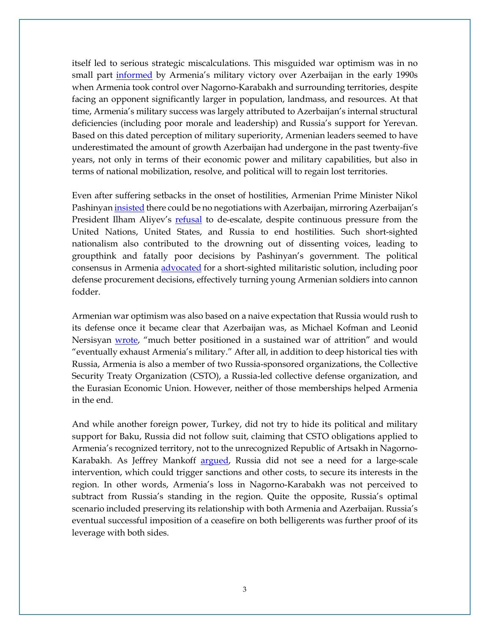itself led to serious strategic miscalculations. This misguided war optimism was in no small part [informed](https://www.russiamatters.org/analysis/look-military-lessons-nagorno-karabakh-conflict) by Armenia's military victory over Azerbaijan in the early 1990s when Armenia took control over Nagorno-Karabakh and surrounding territories, despite facing an opponent significantly larger in population, landmass, and resources. At that time, Armenia's military success was largely attributed to Azerbaijan's internal structural deficiencies (including poor morale and leadership) and Russia's support for Yerevan. Based on this dated perception of military superiority, Armenian leaders seemed to have underestimated the amount of growth Azerbaijan had undergone in the past twenty-five years, not only in terms of their economic power and military capabilities, but also in terms of national mobilization, resolve, and political will to regain lost territories.

Even after suffering setbacks in the onset of hostilities, Armenian Prime Minister Nikol Pashinyan *insisted* there could be no negotiations with Azerbaijan, mirroring Azerbaijan's President Ilham Aliyev's [refusal](https://caspiannews.com/news-detail/president-aliyev-says-no-sense-in-meeting-with-armenias-pashinyan-2020-11-6-3/) to de-escalate, despite continuous pressure from the United Nations, United States, and Russia to end hostilities. Such short-sighted nationalism also contributed to the drowning out of dissenting voices, leading to groupthink and fatally poor decisions by Pashinyan's government. The political consensus in Armenia [advocated](https://armystandard.ru/news/20201222953-okMUH.html) for a short-sighted militaristic solution, including poor defense procurement decisions, effectively turning young Armenian soldiers into cannon fodder.

Armenian war optimism was also based on a naive expectation that Russia would rush to its defense once it became clear that Azerbaijan was, as Michael Kofman and Leonid Nersisyan [wrote,](https://warontherocks.com/2020/10/the-second-nagorno-karabakh-war-two-weeks-in/) "much better positioned in a sustained war of attrition" and would "eventually exhaust Armenia's military." After all, in addition to deep historical ties with Russia, Armenia is also a member of two Russia-sponsored organizations, the Collective Security Treaty Organization (CSTO), a Russia-led collective defense organization, and the Eurasian Economic Union. However, neither of those memberships helped Armenia in the end.

And while another foreign power, Turkey, did not try to hide its political and military support for Baku, Russia did not follow suit, claiming that CSTO obligations applied to Armenia's recognized territory, not to the unrecognized Republic of Artsakh in NagornoKarabakh. As Jeffrey Mankoff [argued,](https://www.csis.org/analysis/kinder-gentler-bear-why-rumors-russias-post-soviet-retreat-are-premature) Russia did not see a need for a large-scale intervention, which could trigger sanctions and other costs, to secure its interests in the region. In other words, Armenia's loss in Nagorno-Karabakh was not perceived to subtract from Russia's standing in the region. Quite the opposite, Russia's optimal scenario included preserving its relationship with both Armenia and Azerbaijan. Russia's eventual successful imposition of a ceasefire on both belligerents was further proof of its leverage with both sides.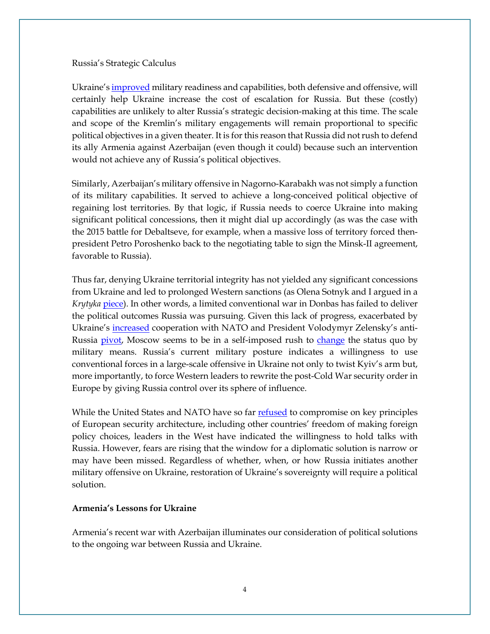#### Russia's Strategic Calculus

Ukraine'[s improved](https://crsreports.congress.gov/product/pdf/IF/IF11862) military readiness and capabilities, both defensive and offensive, will certainly help Ukraine increase the cost of escalation for Russia. But these (costly) capabilities are unlikely to alter Russia's strategic decision-making at this time. The scale and scope of the Kremlin's military engagements will remain proportional to specific political objectives in a given theater. It is for this reason that Russia did not rush to defend its ally Armenia against Azerbaijan (even though it could) because such an intervention would not achieve any of Russia's political objectives.

Similarly, Azerbaijan's military offensive in Nagorno-Karabakh was not simply a function of its military capabilities. It served to achieve a long-conceived political objective of regaining lost territories. By that logic, if Russia needs to coerce Ukraine into making significant political concessions, then it might dial up accordingly (as was the case with the 2015 battle for Debaltseve, for example, when a massive loss of territory forced thenpresident Petro Poroshenko back to the negotiating table to sign the Minsk-II agreement, favorable to Russia).

Thus far, denying Ukraine territorial integrity has not yielded any significant concessions from Ukraine and led to prolonged Western sanctions (as Olena Sotnyk and I argued in a *Krytyka* [piece\)](https://krytyka.com/en/articles/ukraines-strategic-choices-vis-vis-occupied). In other words, a limited conventional war in Donbas has failed to deliver the political outcomes Russia was pursuing. Given this lack of progress, exacerbated by Ukraine's [increased](https://www.army.mil/article/250444/us_nato_ukraine_enhance_interoperability_with_rapid_trident_exercise) cooperation with NATO and President Volodymyr Zelensky's antiRussia [pivot,](https://www.ukrinform.net/rubric-polytics/3183254-zelensky-imposes-fiveyear-sanctions-on-medvedchuks-ally-his-tv-channels.html) Moscow seems to be in a self-imposed rush to [change](https://t.co/qtgPdKiYBO?amp=1) the status quo by military means. Russia's current military posture indicates a willingness to use conventional forces in a large-scale offensive in Ukraine not only to twist Kyiv's arm but, more importantly, to force Western leaders to rewrite the post-Cold War security order in Europe by giving Russia control over its sphere of influence.

While the United States and NATO have so far [refused](https://abcnews.go.com/International/wireStory/nato-sets-terms-working-russia-security-offer-81808837) to compromise on key principles of European security architecture, including other countries' freedom of making foreign policy choices, leaders in the West have indicated the willingness to hold talks with Russia. However, fears are rising that the window for a diplomatic solution is narrow or may have been missed. Regardless of whether, when, or how Russia initiates another military offensive on Ukraine, restoration of Ukraine's sovereignty will require a political solution.

### **Armenia's Lessons for Ukraine**

Armenia's recent war with Azerbaijan illuminates our consideration of political solutions to the ongoing war between Russia and Ukraine.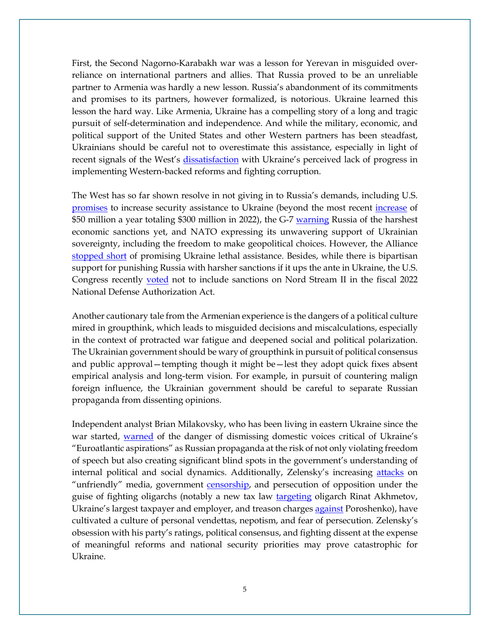First, the Second Nagorno-Karabakh war was a lesson for Yerevan in misguided overreliance on international partners and allies. That Russia proved to be an unreliable partner to Armenia was hardly a new lesson. Russia's abandonment of its commitments and promises to its partners, however formalized, is notorious. Ukraine learned this lesson the hard way. Like Armenia, Ukraine has a compelling story of a long and tragic pursuit of self-determination and independence. And while the military, economic, and political support of the United States and other Western partners has been steadfast, Ukrainians should be careful not to overestimate this assistance, especially in light of recent signals of the West's [dissatisfaction](https://www.rferl.org/a/biden-zelenskiy-ukraine-meeting/31433599.html) with Ukraine's perceived lack of progress in implementing Western-backed reforms and fighting corruption.

The West has so far shown resolve in not giving in to Russia's demands, including U.S. [promises](https://www.ukrinform.net/rubric-polytics/3372544-kvien-us-will-provide-more-weapons-to-ukraine-in-case-of-russias-invasion.html) to [increase](https://www.portman.senate.gov/newsroom/press-releases/portman-shaheen-announce-increased-funding-ukraine-security-assistance) security assistance to Ukraine (beyond the most recent increase of \$50 million a year totaling \$300 million in 2022), the G-7 [warning](https://www.washingtonpost.com/national-security/g7-russia-ukraine-invasion-biden/2021/12/12/bdcbc530-5b50-11ec-bda6-25c1f558dd09_story.html) Russia of the harshest economic sanctions yet, and NATO expressing its unwavering support of Ukrainian sovereignty, including the freedom to make geopolitical choices. However, the Alliance [stopped short](https://www.nytimes.com/2021/12/16/world/europe/ukraine-nato-russia.html) of promising Ukraine lethal assistance. Besides, while there is bipartisan support for punishing Russia with harsher sanctions if it ups the ante in Ukraine, the U.S. Congress recently [voted](https://www.congress.gov/bill/117th-congress/house-bill/4350) not to include sanctions on Nord Stream II in the fiscal 2022 National Defense Authorization Act.

Another cautionary tale from the Armenian experience is the dangers of a political culture mired in groupthink, which leads to misguided decisions and miscalculations, especially in the context of protracted war fatigue and deepened social and political polarization. The Ukrainian government should be wary of groupthink in pursuit of political consensus and public approval—tempting though it might be—lest they adopt quick fixes absent empirical analysis and long-term vision. For example, in pursuit of countering malign foreign influence, the Ukrainian government should be careful to separate Russian propaganda from dissenting opinions.

Independent analyst Brian Milakovsky, who has been living in eastern Ukraine since the war started, [warned](https://www.wilsoncenter.org/blog-post/banning-pro-russian-media-fighting-disinformation-silencing-dissonant-opinions-or-both) of the danger of dismissing domestic voices critical of Ukraine's "Euroatlantic aspirations" as Russian propaganda at the risk of not only violating freedom of speech but also creating significant blind spots in the government's understanding of internal political and social dynamics. Additionally, Zelensky's increasing [attacks](https://lb.ua/news/2021/11/26/499547_zelenskiy_zvinuvativ_zhurnalista.html) on "unfriendly" media, government [censorship,](https://www.dw.com/ru/odoleet-li-glossarij-ot-snbo-ukrainy-rossijskuju-propagandu/a-59621736) and persecution of opposition under the guise of fighting oligarchs (notably a new tax law [targeting](https://www.epravda.com.ua/rus/news/2021/11/30/680254/) oligarch Rinat Akhmetov, Ukraine's largest taxpayer and employer, and treason charges [against](https://www.epravda.com.ua/rus/news/2021/11/30/680254/) Poroshenko), have cultivated a culture of personal vendettas, nepotism, and fear of persecution. Zelensky's obsession with his party's ratings, political consensus, and fighting dissent at the expense of meaningful reforms and national security priorities may prove catastrophic for Ukraine.